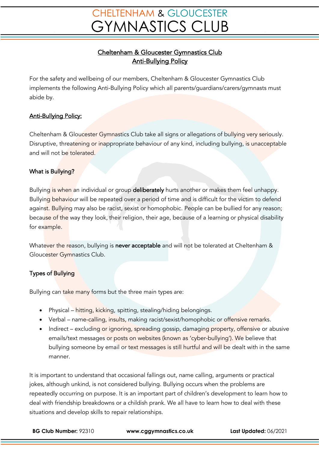# **CHELTENHAM & GLOUCESTER GYMNASTICS CLUB**

## Cheltenham & Gloucester Gymnastics Club Anti-Bullying Policy

For the safety and wellbeing of our members, Cheltenham & Gloucester Gymnastics Club implements the following Anti-Bullying Policy which all parents/guardians/carers/gymnasts must abide by.

### Anti-Bullying Policy:

Cheltenham & Gloucester Gymnastics Club take all signs or allegations of bullying very seriously. Disruptive, threatening or inappropriate behaviour of any kind, including bullying, is unacceptable and will not be tolerated.

#### What is Bullying?

Bullying is when an individual or group deliberately hurts another or makes them feel unhappy. Bullying behaviour will be repeated over a period of time and is difficult for the victim to defend against. Bullying may also be racist, sexist or homophobic. People can be bullied for any reason; because of the way they look, their religion, their age, because of a learning or physical disability for example.

Whatever the reason, bullying is never acceptable and will not be tolerated at Cheltenham & Gloucester Gymnastics Club.

### Types of Bullying

Bullying can take many forms but the three main types are:

- Physical hitting, kicking, spitting, stealing/hiding belongings.
- Verbal name-calling, insults, making racist/sexist/homophobic or offensive remarks.
- Indirect excluding or ignoring, spreading gossip, damaging property, offensive or abusive emails/text messages or posts on websites (known as 'cyber-bullying'). We believe that bullying someone by email or text messages is still hurtful and will be dealt with in the same manner.

It is important to understand that occasional fallings out, name calling, arguments or practical jokes, although unkind, is not considered bullying. Bullying occurs when the problems are repeatedly occurring on purpose. It is an important part of children's development to learn how to deal with friendship breakdowns or a childish prank. We all have to learn how to deal with these situations and develop skills to repair relationships.

**BG Club Number:** 92310 **www.cggymnastics.co.uk Last Updated:** 06/2021